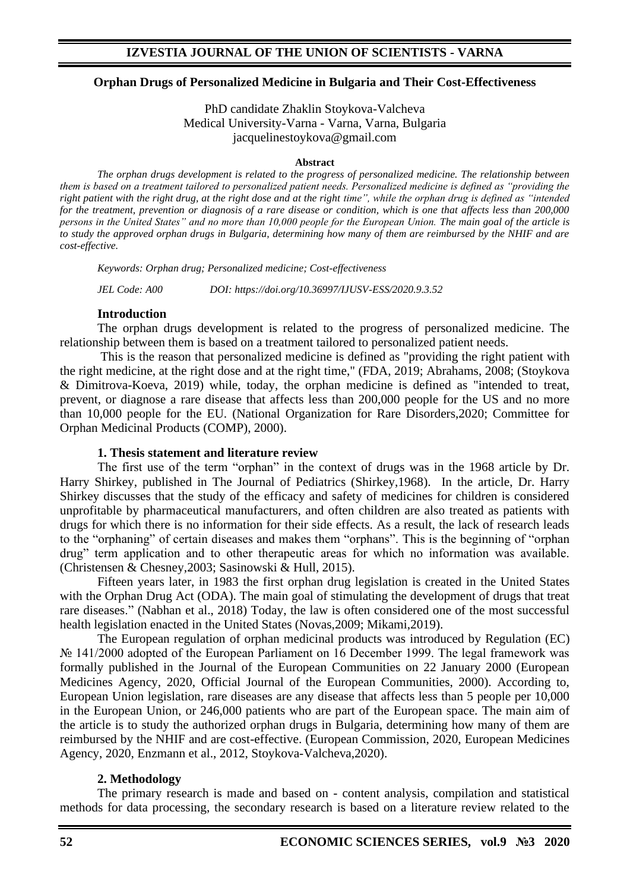#### **Orphan Drugs of Personalized Medicine in Bulgaria and Their Cost-Effectiveness**

PhD candidate Zhaklin Stoykova-Valcheva Medical University-Varna - Varna, Varna, Bulgaria jacquelinestoykova@gmail.com

#### **Abstract**

*The orphan drugs development is related to the progress of personalized medicine. The relationship between them is based on a treatment tailored to personalized patient needs. Personalized medicine is defined as "providing the right patient with the right drug, at the right dose and at the right time", while the orphan drug is defined as "intended for the treatment, prevention or diagnosis of a rare disease or condition, which is one that affects less than 200,000 persons in the United States" and no more than 10,000 people for the European Union. The main goal of the article is to study the approved orphan drugs in Bulgaria, determining how many of them are reimbursed by the NHIF and are cost-effective.*

*Keywords: Orphan drug; Personalized medicine; Cost-effectiveness*

*JEL Code: A00 DOI: https://doi.org/10.36997/IJUSV-ESS/2020.9.3.52*

#### **Introduction**

The orphan drugs development is related to the progress of personalized medicine. The relationship between them is based on a treatment tailored to personalized patient needs.

This is the reason that personalized medicine is defined as "providing the right patient with the right medicine, at the right dose and at the right time," (FDA, 2019; Abrahams, 2008; (Stoykova & Dimitrova-Koeva, 2019) while, today, the orphan medicine is defined as "intended to treat, prevent, or diagnose a rare disease that affects less than 200,000 people for the US and no more than 10,000 people for the EU. (National Organization for Rare Disorders,2020; Committee for Orphan Medicinal Products (COMP), 2000).

#### **1. Thesis statement and literature review**

The first use of the term "orphan" in the context of drugs was in the 1968 article by Dr. Harry Shirkey, published in The Journal of Pediatrics (Shirkey,1968). In the article, Dr. Harry Shirkey discusses that the study of the efficacy and safety of medicines for children is considered unprofitable by pharmaceutical manufacturers, and often children are also treated as patients with drugs for which there is no information for their side effects. As a result, the lack of research leads to the "orphaning" of certain diseases and makes them "orphans". This is the beginning of "orphan drug" term application and to other therapeutic areas for which no information was available. (Christensen & Chesney,2003; Sasinowski & Hull, 2015).

Fifteen years later, in 1983 the first orphan drug legislation is created in the United States with the Orphan Drug Act (ODA). The main goal of stimulating the development of drugs that treat rare diseases." (Nabhan et al., 2018) Today, the law is often considered one of the most successful health legislation enacted in the United States (Novas,2009; Mikami,2019).

The European regulation of orphan medicinal products was introduced by Regulation (EC) № 141/2000 adopted of the European Parliament on 16 December 1999. The legal framework was formally published in the Journal of the European Communities on 22 January 2000 (European Medicines Agency, 2020, Official Journal of the European Communities, 2000). According to, European Union legislation, rare diseases are any disease that affects less than 5 people per 10,000 in the European Union, or 246,000 patients who are part of the European space. The main aim of the article is to study the authorized orphan drugs in Bulgaria, determining how many of them are reimbursed by the NHIF and are cost-effective. (European Commission, 2020, European Medicines Agency, 2020, Enzmann et al., 2012, Stoykova-Valcheva,2020).

#### **2. Methodology**

The primary research is made and based on - content analysis, compilation and statistical methods for data processing, the secondary research is based on a literature review related to the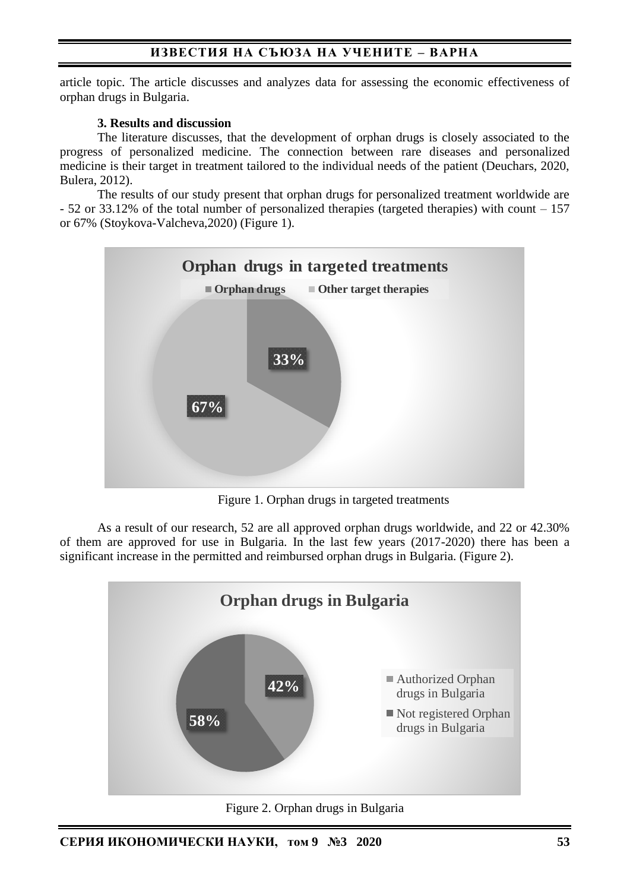article topic. The article discusses and analyzes data for assessing the economic effectiveness of orphan drugs in Bulgaria.

#### **3. Results and discussion**

The literature discusses, that the development of orphan drugs is closely associated to the progress of personalized medicine. The connection between rare diseases and personalized medicine is their target in treatment tailored to the individual needs of the patient (Deuchars, 2020, Bulera, 2012).

The results of our study present that orphan drugs for personalized treatment worldwide are - 52 or 33.12% of the total number of personalized therapies (targeted therapies) with count – 157 or 67% (Stoykova-Valcheva,2020) (Figure 1).



Figure 1. Orphan drugs in targeted treatments

As a result of our research, 52 are all approved orphan drugs worldwide, and 22 or 42.30% of them are approved for use in Bulgaria. In the last few years (2017-2020) there has been a significant increase in the permitted and reimbursed orphan drugs in Bulgaria. (Figure 2).



Figure 2. Orphan drugs in Bulgaria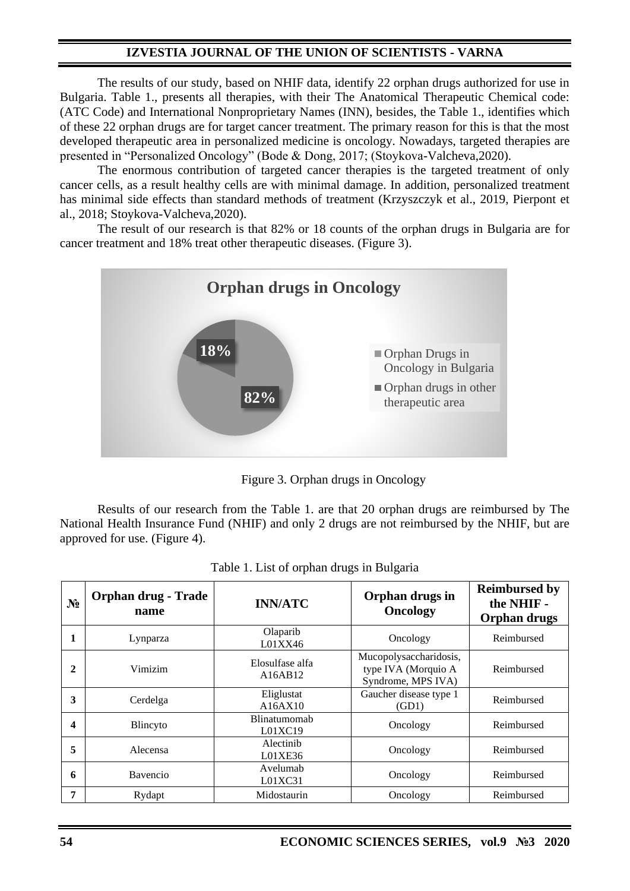The results of our study, based on NHIF data, identify 22 orphan drugs authorized for use in Bulgaria. Table 1., presents all therapies, with their The Anatomical Therapeutic Chemical code: (ATC Code) and International Nonproprietary Names (INN), besides, the Table 1., identifies which of these 22 orphan drugs are for target cancer treatment. The primary reason for this is that the most developed therapeutic area in personalized medicine is oncology. Nowadays, targeted therapies are presented in "Personalized Oncology" (Bode & Dong, 2017; (Stoykova-Valcheva,2020).

The enormous contribution of targeted cancer therapies is the targeted treatment of only cancer cells, as a result healthy cells are with minimal damage. In addition, personalized treatment has minimal side effects than standard methods of treatment (Krzyszczyk et al., 2019, Pierpont et al., 2018; Stoykova-Valcheva,2020).

The result of our research is that 82% or 18 counts of the orphan drugs in Bulgaria are for cancer treatment and 18% treat other therapeutic diseases. (Figure 3).



Figure 3. Orphan drugs in Oncology

Results of our research from the Table 1. are that 20 orphan drugs are reimbursed by The National Health Insurance Fund (NHIF) and only 2 drugs are not reimbursed by the NHIF, but are approved for use. (Figure 4).

| N <sub>2</sub> | <b>Orphan drug - Trade</b><br>name | <b>INN/ATC</b>                 | Orphan drugs in<br>Oncology                                         | <b>Reimbursed by</b><br>the NHIF -<br>Orphan drugs |
|----------------|------------------------------------|--------------------------------|---------------------------------------------------------------------|----------------------------------------------------|
|                | Lynparza                           | Olaparib<br>L01XX46            | Oncology                                                            | Reimbursed                                         |
| 2              | Vimizim                            | Elosulfase alfa<br>A16AB12     | Mucopolysaccharidosis,<br>type IVA (Morquio A<br>Syndrome, MPS IVA) | Reimbursed                                         |
| 3              | Cerdelga                           | Eliglustat<br>A16AX10          | Gaucher disease type 1<br>(GD1)                                     | Reimbursed                                         |
| 4              | Blincyto                           | <b>Blinatumomab</b><br>L01XC19 | Oncology                                                            | Reimbursed                                         |
| 5              | Alecensa                           | Alectinib<br>L01XE36           | Oncology                                                            | Reimbursed                                         |
| 6              | Bavencio                           | Avelumab<br>L01XC31            | Oncology                                                            | Reimbursed                                         |
| 7              | Rydapt                             | Midostaurin                    | Oncology                                                            | Reimbursed                                         |

Table 1. List of orphan drugs in Bulgaria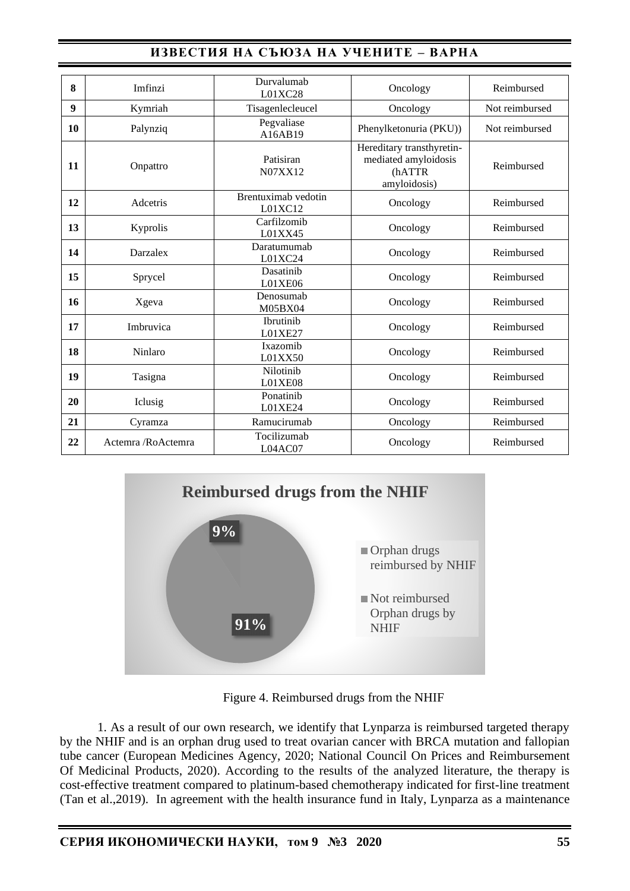| 8  | Imfinzi            | Durvalumab<br>L01XC28          | Oncology                                                                    | Reimbursed     |
|----|--------------------|--------------------------------|-----------------------------------------------------------------------------|----------------|
| 9  | Kymriah            | Tisagenlecleucel               | Oncology                                                                    | Not reimbursed |
| 10 | Palynziq           | Pegvaliase<br>A16AB19          | Phenylketonuria (PKU))                                                      | Not reimbursed |
| 11 | Onpattro           | Patisiran<br>N07XX12           | Hereditary transthyretin-<br>mediated amyloidosis<br>(hATTR<br>amyloidosis) | Reimbursed     |
| 12 | Adcetris           | Brentuximab vedotin<br>L01XC12 | Oncology                                                                    | Reimbursed     |
| 13 | Kyprolis           | Carfilzomib<br>L01XX45         | Oncology                                                                    | Reimbursed     |
| 14 | Darzalex           | Daratumumah<br>L01XC24         | Oncology                                                                    | Reimbursed     |
| 15 | Sprycel            | Dasatinib<br>L01XE06           | Oncology                                                                    | Reimbursed     |
| 16 | Xgeva              | Denosumab<br>M05BX04           | Oncology                                                                    | Reimbursed     |
| 17 | Imbruvica          | Ibrutinib<br>L01XE27           | Oncology                                                                    | Reimbursed     |
| 18 | Ninlaro            | Ixazomib<br>L01XX50            | Oncology                                                                    | Reimbursed     |
| 19 | Tasigna            | Nilotinib<br>L01XE08           | Oncology                                                                    | Reimbursed     |
| 20 | Iclusig            | Ponatinib<br>L01XE24           | Oncology                                                                    | Reimbursed     |
| 21 | Cyramza            | Ramucirumab                    | Oncology                                                                    | Reimbursed     |
| 22 | Actemra /RoActemra | Tocilizumab<br>L04AC07         | Oncology                                                                    | Reimbursed     |



Figure 4. Reimbursed drugs from the NHIF

1. As a result of our own research, we identify that Lynparza is reimbursed targeted therapy by the NHIF and is an orphan drug used to treat ovarian cancer with BRCA mutation and fallopian tube cancer (European Medicines Agency, 2020; National Council On Prices and Reimbursement Of Medicinal Products, 2020). According to the results of the analyzed literature, the therapy is cost-effective treatment compared to platinum-based chemotherapy indicated for first-line treatment (Tan et al.,2019). In agreement with the health insurance fund in Italy, Lynparza as a maintenance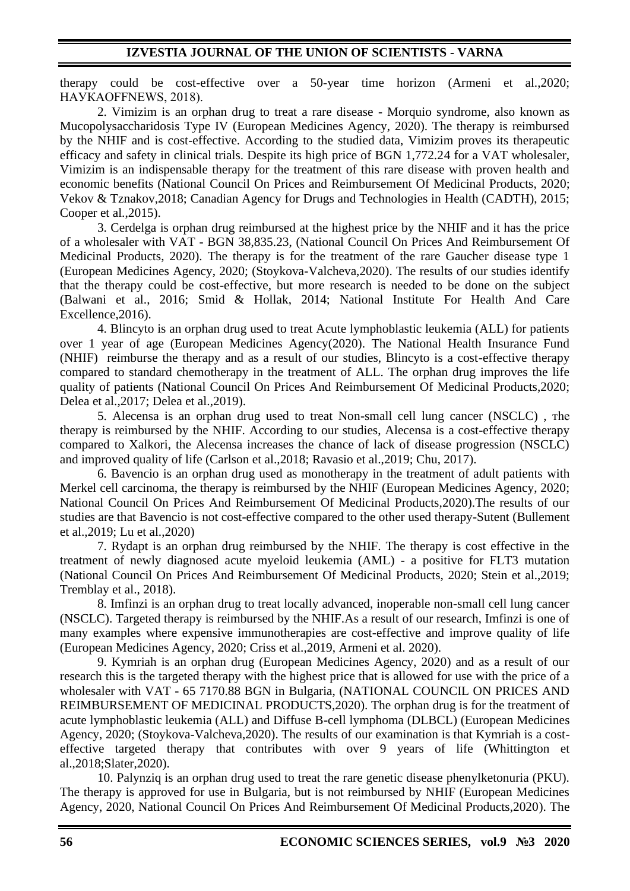therapy could be cost-effective over a 50-year time horizon (Armeni et al.,2020; НАУКАOFFNEWS, 2018).

2. Vimizim is an orphan drug to treat a rare disease - Morquio syndrome, also known as Mucopolysaccharidosis Type IV (European Medicines Agency, 2020). The therapy is reimbursed by the NHIF and is cost-effective. According to the studied data, Vimizim proves its therapeutic efficacy and safety in clinical trials. Despite its high price of BGN 1,772.24 for a VAT wholesaler, Vimizim is an indispensable therapy for the treatment of this rare disease with proven health and economic benefits (National Council On Prices and Reimbursement Of Medicinal Products, 2020; Vekov & Tznakov,2018; Canadian Agency for Drugs and Technologies in Health (CADTH), 2015; Cooper et al.,2015).

3. Cerdelga is orphan drug reimbursed at the highest price by the NHIF and it has the price of a wholesaler with VAT - BGN 38,835.23, (National Council On Prices And Reimbursement Of Medicinal Products, 2020). The therapy is for the treatment of the rare Gaucher disease type 1 (European Medicines Agency, 2020; (Stoykova-Valcheva,2020). The results of our studies identify that the therapy could be cost-effective, but more research is needed to be done on the subject (Balwani et al., 2016; Smid & Hollak, 2014; National Institute For Health And Care Excellence,2016).

4. Blincyto is an orphan drug used to treat Acute lymphoblastic leukemia (ALL) for patients over 1 year of age (European Medicines Agency(2020). The National Health Insurance Fund (NHIF) reimburse the therapy and as a result of our studies, Blincyto is a cost-effective therapy compared to standard chemotherapy in the treatment of ALL. The orphan drug improves the life quality of patients (National Council On Prices And Reimbursement Of Medicinal Products,2020; Delea et al.,2017; Delea et al.,2019).

5. Alecensa is an orphan drug used to treat Non-small cell lung cancer (NSCLC) , тhe therapy is reimbursed by the NHIF. According to our studies, Alecensa is a cost-effective therapy compared to Xalkori, the Alecensa increases the chance of lack of disease progression (NSCLC) and improved quality of life (Carlson et al.,2018; Ravasio et al.,2019; Chu, 2017).

6. Bavencio is an orphan drug used as monotherapy in the treatment of adult patients with Merkel cell carcinoma, the therapy is reimbursed by the NHIF (European Medicines Agency, 2020; National Council On Prices And Reimbursement Of Medicinal Products,2020).The results of our studies are that Bavencio is not cost-effective compared to the other used therapy-Sutent (Bullement et al.,2019; Lu et al.,2020)

7. Rydapt is an orphan drug reimbursed by the NHIF. The therapy is cost effective in the treatment of newly diagnosed acute myeloid leukemia (AML) - a positive for FLT3 mutation (National Council On Prices And Reimbursement Of Medicinal Products, 2020; Stein et al.,2019; Tremblay et al., 2018).

8. Imfinzi is an orphan drug to treat locally advanced, inoperable non-small cell lung cancer (NSCLC). Targeted therapy is reimbursed by the NHIF.As a result of our research, Imfinzi is one of many examples where expensive immunotherapies are cost-effective and improve quality of life (European Medicines Agency, 2020; Criss et al.,2019, Armeni et al. 2020).

9. Kymriah is an orphan drug (European Medicines Agency, 2020) and as a result of our research this is the targeted therapy with the highest price that is allowed for use with the price of a wholesaler with VAT - 65 7170.88 BGN in Bulgaria, (NATIONAL COUNCIL ON PRICES AND REIMBURSEMENT OF MEDICINAL PRODUCTS,2020). The orphan drug is for the treatment of acute lymphoblastic leukemia (ALL) and Diffuse B-cell lymphoma (DLBCL) (European Medicines Agency, 2020; (Stoykova-Valcheva,2020). The results of our examination is that Kymriah is a costeffective targeted therapy that contributes with over 9 years of life (Whittington et al.,2018;Slater,2020).

10. Palynziq is an orphan drug used to treat the rare genetic disease phenylketonuria (PKU). The therapy is approved for use in Bulgaria, but is not reimbursed by NHIF (European Medicines Agency, 2020, National Council On Prices And Reimbursement Of Medicinal Products,2020). The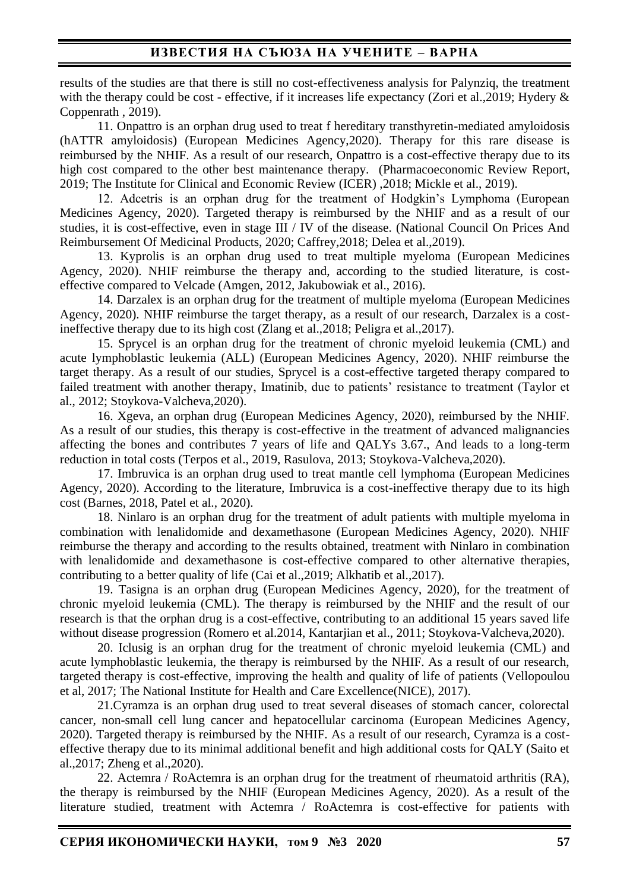results of the studies are that there is still no cost-effectiveness analysis for Palynziq, the treatment with the therapy could be cost - effective, if it increases life expectancy (Zori et al., 2019; Hydery  $\&$ Coppenrath , 2019).

11. Onpattro is an orphan drug used to treat f hereditary transthyretin-mediated amyloidosis (hATTR amyloidosis) (European Medicines Agency,2020). Therapy for this rare disease is reimbursed by the NHIF. As a result of our research, Onpattro is a cost-effective therapy due to its high cost compared to the other best maintenance therapy. (Pharmacoeconomic Review Report, 2019; The Institute for Clinical and Economic Review (ICER) ,2018; Mickle et al., 2019).

12. Adcetris is an orphan drug for the treatment of Hodgkin's Lymphoma (European Medicines Agency, 2020). Targeted therapy is reimbursed by the NHIF and as a result of our studies, it is cost-effective, even in stage III / IV of the disease. (National Council On Prices And Reimbursement Of Medicinal Products, 2020; Caffrey,2018; Delea et al.,2019).

13. Kyprolis is an orphan drug used to treat multiple myeloma (European Medicines Agency, 2020). NHIF reimburse the therapy and, according to the studied literature, is costeffective compared to Velcade (Amgen, 2012, Jakubowiak et al., 2016).

14. Darzalex is an orphan drug for the treatment of multiple myeloma (European Medicines Agency, 2020). NHIF reimburse the target therapy, as a result of our research, Darzalex is a costineffective therapy due to its high cost (Zlang et al.,2018; Peligra et al.,2017).

15. Sprycel is an orphan drug for the treatment of chronic myeloid leukemia (CML) and acute lymphoblastic leukemia (ALL) (European Medicines Agency, 2020). NHIF reimburse the target therapy. As a result of our studies, Sprycel is a cost-effective targeted therapy compared to failed treatment with another therapy, Imatinib, due to patients' resistance to treatment (Taylor et al., 2012; Stoykova-Valcheva,2020).

16. Xgeva, an orphan drug (European Medicines Agency, 2020), reimbursed by the NHIF. As a result of our studies, this therapy is cost-effective in the treatment of advanced malignancies affecting the bones and contributes 7 years of life and QALYs 3.67., And leads to a long-term reduction in total costs (Terpos et al., 2019, Rasulova, 2013; Stoykova-Valcheva,2020).

17. Imbruvica is an orphan drug used to treat mantle cell lymphoma (European Medicines Agency, 2020). According to the literature, Imbruvica is a cost-ineffective therapy due to its high cost (Barnes, 2018, Patel et al., 2020).

18. Ninlaro is an orphan drug for the treatment of adult patients with multiple myeloma in combination with lenalidomide and dexamethasone (European Medicines Agency, 2020). NHIF reimburse the therapy and according to the results obtained, treatment with Ninlaro in combination with lenalidomide and dexamethasone is cost-effective compared to other alternative therapies, contributing to a better quality of life (Cai et al.,2019; Alkhatib et al.,2017).

19. Tasigna is an orphan drug (European Medicines Agency, 2020), for the treatment of chronic myeloid leukemia (CML). The therapy is reimbursed by the NHIF and the result of our research is that the orphan drug is a cost-effective, contributing to an additional 15 years saved life without disease progression (Romero et al.2014, Kantarjian et al., 2011; Stoykova-Valcheva,2020).

20. Iclusig is an orphan drug for the treatment of chronic myeloid leukemia (CML) and acute lymphoblastic leukemia, the therapy is reimbursed by the NHIF. As a result of our research, targeted therapy is cost-effective, improving the health and quality of life of patients (Vellopoulou et al, 2017; The National Institute for Health and Care Excellence(NICE), 2017).

21.Cyramza is an orphan drug used to treat several diseases of stomach cancer, colorectal cancer, non-small cell lung cancer and hepatocellular carcinoma (European Medicines Agency, 2020). Targeted therapy is reimbursed by the NHIF. As a result of our research, Cyramza is a costeffective therapy due to its minimal additional benefit and high additional costs for QALY (Saito et al.,2017; Zheng et al.,2020).

22. Actemra / RoActemra is an orphan drug for the treatment of rheumatoid arthritis (RA), the therapy is reimbursed by the NHIF (European Medicines Agency, 2020). As a result of the literature studied, treatment with Actemra / RoActemra is cost-effective for patients with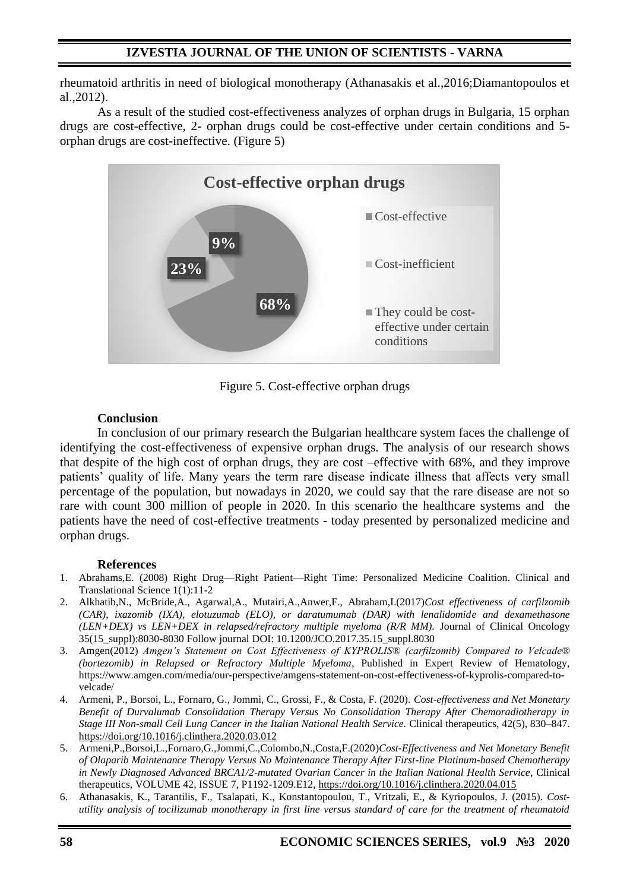rheumatoid arthritis in need of biological monotherapy (Athanasakis et al.,2016;Diamantopoulos et al.,2012).

As a result of the studied cost-effectiveness analyzes of orphan drugs in Bulgaria, 15 orphan drugs are cost-effective, 2- orphan drugs could be cost-effective under certain conditions and 5 orphan drugs are cost-ineffective. (Figure 5)



Figure 5. Cost-effective orphan drugs

#### **Conclusion**

In conclusion of our primary research the Bulgarian healthcare system faces the challenge of identifying the cost-effectiveness of expensive orphan drugs. The analysis of our research shows that despite of the high cost of orphan drugs, they are cost –effective with 68%, and they improve patients' quality of life. Many years the term rare disease indicate illness that affects very small percentage of the population, but nowadays in 2020, we could say that the rare disease are not so rare with count 300 million of people in 2020. In this scenario the healthcare systems and the patients have the need of cost-effective treatments - today presented by personalized medicine and orphan drugs.

#### **References**

- 1. Abrahams,E. (2008) Right Drug—Right Patient—Right Time: Personalized Medicine Coalition. Clinical and Translational Science 1(1):11-2
- 2. Alkhatib,N., McBride,A., Agarwal,A., Mutairi,A.,Anwer,F., Abraham,I.(2017)*Cost effectiveness of carfilzomib (CAR), ixazomib (IXA), elotuzumab (ELO), or daratumumab (DAR) with lenalidomide and dexamethasone (LEN+DEX) vs LEN+DEX in relapsed/refractory multiple myeloma (R/R MM).* Journal of Clinical Oncology 35(15\_suppl):8030-8030 Follow journal DOI: 10.1200/JCO.2017.35.15\_suppl.8030
- 3. Amgen(2012) *Amgen's Statement on Cost Effectiveness of KYPROLIS® (carfilzomib) Compared to Velcade® (bortezomib) in Relapsed or Refractory Multiple Myeloma*, Published in Expert Review of Hematology, https://www.amgen.com/media/our-perspective/amgens-statement-on-cost-effectiveness-of-kyprolis-compared-tovelcade/
- 4. Armeni, P., Borsoi, L., Fornaro, G., Jommi, C., Grossi, F., & Costa, F. (2020). *Cost-effectiveness and Net Monetary Benefit of Durvalumab Consolidation Therapy Versus No Consolidation Therapy After Chemoradiotherapy in Stage III Non-small Cell Lung Cancer in the Italian National Health Service.* Clinical therapeutics, 42(5), 830–847. <https://doi.org/10.1016/j.clinthera.2020.03.012>
- 5. Armeni,P.,Borsoi,L.,Fornaro,G.,Jommi,C.,Colombo,N.,Costa,F.(2020)*Cost-Effectiveness and Net Monetary Benefit of Olaparib Maintenance Therapy Versus No Maintenance Therapy After First-line Platinum-based Chemotherapy in Newly Diagnosed Advanced BRCA1/2-mutated Ovarian Cancer in the Italian National Health Service*, Clinical therapeutics, VOLUME 42, ISSUE 7, P1192-1209.E12, <https://doi.org/10.1016/j.clinthera.2020.04.015>
- 6. Athanasakis, K., Tarantilis, F., Tsalapati, K., Konstantopoulou, T., Vritzali, E., & Kyriopoulos, J. (2015). *Costutility analysis of tocilizumab monotherapy in first line versus standard of care for the treatment of rheumatoid*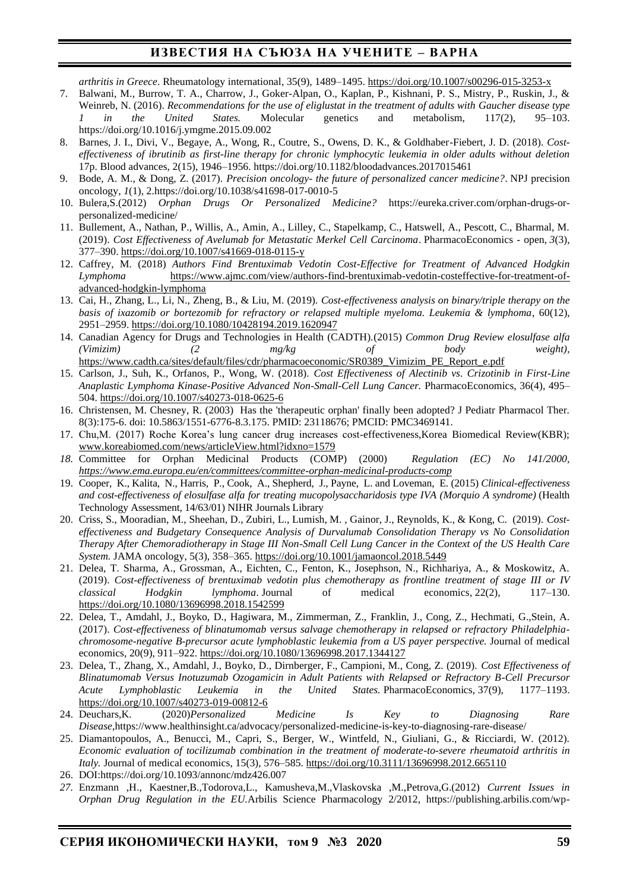*arthritis in Greece*. Rheumatology international, 35(9), 1489–1495[. https://doi.org/10.1007/s00296-015-3253-x](https://doi.org/10.1007/s00296-015-3253-x)

- 7. Balwani, M., Burrow, T. A., Charrow, J., Goker-Alpan, O., Kaplan, P., Kishnani, P. S., Mistry, P., Ruskin, J., & Weinreb, N. (2016). *Recommendations for the use of eliglustat in the treatment of adults with Gaucher disease type 1 in the United States.* Molecular genetics and metabolism, 117(2), 95–103. https://doi.org/10.1016/j.ymgme.2015.09.002
- 8. Barnes, J. I., Divi, V., Begaye, A., Wong, R., Coutre, S., Owens, D. K., & Goldhaber-Fiebert, J. D. (2018). *Costeffectiveness of ibrutinib as first-line therapy for chronic lymphocytic leukemia in older adults without deletion*  17p. Blood advances, 2(15), 1946–1956. https://doi.org/10.1182/bloodadvances.2017015461
- 9. Bode, A. M., & Dong, Z. (2017). *Precision oncology- the future of personalized cancer medicine?*. NPJ precision oncology, *1*(1), 2.https://doi.org/10.1038/s41698-017-0010-5
- 10. Bulera,S.(2012) *Orphan Drugs Or Personalized Medicine?* https://eureka.criver.com/orphan-drugs-orpersonalized-medicine/
- 11. Bullement, A., Nathan, P., Willis, A., Amin, A., Lilley, C., Stapelkamp, C., Hatswell, A., Pescott, C., Bharmal, M. (2019). *Cost Effectiveness of Avelumab for Metastatic Merkel Cell Carcinoma*. PharmacoEconomics - open, *3*(3), 377–390[. https://doi.org/10.1007/s41669-018-0115-y](https://doi.org/10.1007/s41669-018-0115-y)
- 12. Caffrey, M. (2018) *Authors Find Brentuximab Vedotin Cost-Effective for Treatment of Advanced Hodgkin Lymphoma* [https://www.ajmc.com/view/authors-find-brentuximab-vedotin-costeffective-for-treatment-of](https://www.ajmc.com/view/authors-find-brentuximab-vedotin-costeffective-for-treatment-of-advanced-hodgkin-lymphoma)[advanced-hodgkin-lymphoma](https://www.ajmc.com/view/authors-find-brentuximab-vedotin-costeffective-for-treatment-of-advanced-hodgkin-lymphoma)
- 13. Cai, H., Zhang, L., Li, N., Zheng, B., & Liu, M. (2019). *Cost-effectiveness analysis on binary/triple therapy on the basis of ixazomib or bortezomib for refractory or relapsed multiple myeloma. Leukemia & lymphoma*, 60(12), 2951–2959[. https://doi.org/10.1080/10428194.2019.1620947](https://doi.org/10.1080/10428194.2019.1620947)
- 14. Canadian Agency for Drugs and Technologies in Health (CADTH).(2015) *Common Drug Review elosulfase alfa (Vimizim) (2 mg/kg of body weight),* [https://www.cadth.ca/sites/default/files/cdr/pharmacoeconomic/SR0389\\_Vimizim\\_PE\\_Report\\_e.pdf](https://www.cadth.ca/sites/default/files/cdr/pharmacoeconomic/SR0389_Vimizim_PE_Report_e.pdf)
- 15. Carlson, J., Suh, K., Orfanos, P., Wong, W. (2018). *Cost Effectiveness of Alectinib vs. Crizotinib in First-Line Anaplastic Lymphoma Kinase-Positive Advanced Non-Small-Cell Lung Cancer.* PharmacoEconomics, 36(4), 495– 504[. https://doi.org/10.1007/s40273-018-0625-6](https://doi.org/10.1007/s40273-018-0625-6)
- 16. Christensen, M. Chesney, R. (2003) Has the 'therapeutic orphan' finally been adopted? J Pediatr Pharmacol Ther. 8(3):175-6. doi: 10.5863/1551-6776-8.3.175. PMID: 23118676; PMCID: PMC3469141.
- 17. Chu,M. (2017) Roche Korea's lung cancer drug increases cost-effectiveness,Korea Biomedical Review(KBR); [www.koreabiomed.com/news/articleView.html?idxno=1579](http://www.koreabiomed.com/news/articleView.html?idxno=1579)
- *18.* Committee for Orphan Medicinal Products (COMP) (2000) *Regulation (EC) No 141/2000, <https://www.ema.europa.eu/en/committees/committee-orphan-medicinal-products-comp>*
- 19. Cooper, K., Kalita, N., Harris, P., Cook, A., Shepherd, J., Payne, L. and Loveman, E. (2015) *Clinical-effectiveness and cost-effectiveness of elosulfase alfa for treating mucopolysaccharidosis type IVA (Morquio A syndrome)* (Health Technology Assessment, 14/63/01) NIHR Journals Library
- 20. Criss, S., Mooradian, M., Sheehan, D., Zubiri, L., Lumish, M. , Gainor, J., Reynolds, K., & Kong, C. (2019). *Costeffectiveness and Budgetary Consequence Analysis of Durvalumab Consolidation Therapy vs No Consolidation Therapy After Chemoradiotherapy in Stage III Non-Small Cell Lung Cancer in the Context of the US Health Care System.* JAMA oncology, 5(3), 358–365.<https://doi.org/10.1001/jamaoncol.2018.5449>
- 21. Delea, T. Sharma, A., Grossman, A., Eichten, C., Fenton, K., Josephson, N., Richhariya, A., & Moskowitz, A. (2019). *Cost-effectiveness of brentuximab vedotin plus chemotherapy as frontline treatment of stage III or IV classical Hodgkin lymphoma*. Journal of medical economics, 22(2), 117–130. <https://doi.org/10.1080/13696998.2018.1542599>
- 22. Delea, T., Amdahl, J., Boyko, D., Hagiwara, M., Zimmerman, Z., Franklin, J., Cong, Z., Hechmati, G.,Stein, A. (2017). *Cost-effectiveness of blinatumomab versus salvage chemotherapy in relapsed or refractory Philadelphiachromosome-negative B-precursor acute lymphoblastic leukemia from a US payer perspective.* Journal of medical economics, 20(9), 911–922.<https://doi.org/10.1080/13696998.2017.1344127>
- 23. Delea, T., Zhang, X., Amdahl, J., Boyko, D., Dirnberger, F., Campioni, M., Cong, Z. (2019). *Cost Effectiveness of Blinatumomab Versus Inotuzumab Ozogamicin in Adult Patients with Relapsed or Refractory B-Cell Precursor Acute Lymphoblastic Leukemia in the United States. PharmacoEconomics, 37(9),* <https://doi.org/10.1007/s40273-019-00812-6><br>24. Deuchars, K. (2020) Personalized
- 24. Deuchars,K. (2020)*Personalized Medicine Is Key to Diagnosing Rare Disease*,https://www.healthinsight.ca/advocacy/personalized-medicine-is-key-to-diagnosing-rare-disease/
- 25. Diamantopoulos, A., Benucci, M., Capri, S., Berger, W., Wintfeld, N., Giuliani, G., & Ricciardi, W. (2012). *Economic evaluation of tocilizumab combination in the treatment of moderate-to-severe rheumatoid arthritis in Italy.* Journal of medical economics, 15(3), 576–585.<https://doi.org/10.3111/13696998.2012.665110>
- 26. DOI:https://doi.org/10.1093/annonc/mdz426.007
- *27.* Enzmann ,H., Kaestner,B.,Todorova,L., Kamusheva,M.,Vlaskovska ,M.,Petrova,G.(2012) *Current Issues in Orphan Drug Regulation in the EU.*Arbilis Science Pharmacology 2/2012, https://publishing.arbilis.com/wp-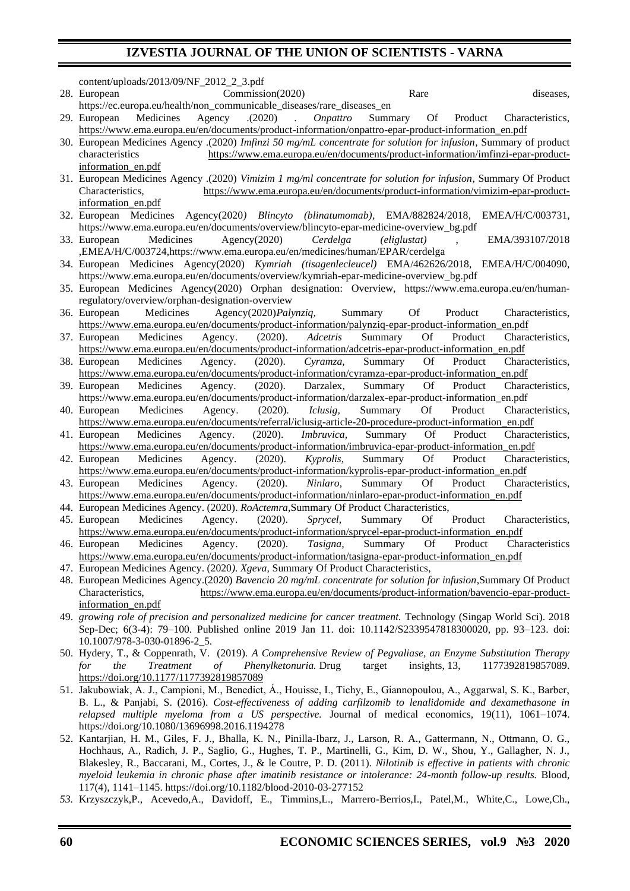| content/uploads/2013/09/NF_2012_2_3.pdf                                                                                                         |
|-------------------------------------------------------------------------------------------------------------------------------------------------|
| Commission(2020)<br>Rare<br>28. European<br>diseases,                                                                                           |
| https://ec.europa.eu/health/non_communicable_diseases/rare_diseases_en                                                                          |
| Medicines<br>Agency<br>(2020)<br>Summary<br><b>Of</b><br>29. European<br>Onpattro<br>Product<br>Characteristics,<br>$\mathcal{L}^{\mathcal{L}}$ |
| https://www.ema.europa.eu/en/documents/product-information/onpattro-epar-product-information en.pdf                                             |
| 30. European Medicines Agency .(2020) Imfinzi 50 mg/mL concentrate for solution for infusion, Summary of product                                |
| https://www.ema.europa.eu/en/documents/product-information/imfinzi-epar-product-<br>characteristics                                             |
| information en.pdf                                                                                                                              |
| 31. European Medicines Agency .(2020) Vimizim 1 mg/ml concentrate for solution for infusion, Summary Of Product                                 |
| https://www.ema.europa.eu/en/documents/product-information/vimizim-epar-product-<br>Characteristics,                                            |
| information en.pdf                                                                                                                              |
| 32. European Medicines Agency(2020) Blincyto (blinatumomab), EMA/882824/2018,<br>EMEA/H/C/003731,                                               |
| https://www.ema.europa.eu/en/documents/overview/blincyto-epar-medicine-overview_bg.pdf                                                          |
| Medicines<br>Agency(2020)<br>33. European<br>Cerdelga<br>EMA/393107/2018<br><i>(eliglustat)</i>                                                 |
| ,EMEA/H/C/003724,https://www.ema.europa.eu/en/medicines/human/EPAR/cerdelga                                                                     |
| 34. European Medicines Agency(2020) Kymriah (tisagenlecleucel) EMA/462626/2018, EMEA/H/C/004090,                                                |
| https://www.ema.europa.eu/en/documents/overview/kymriah-epar-medicine-overview_bg.pdf                                                           |
| 35. European Medicines Agency(2020) Orphan designation: Overview, https://www.ema.europa.eu/en/human-                                           |
| regulatory/overview/orphan-designation-overview                                                                                                 |
| 36. European<br>Agency(2020)Palynziq,<br>Medicines<br>Summary<br>Of<br>Product<br>Characteristics,                                              |
| https://www.ema.europa.eu/en/documents/product-information/palynziq-epar-product-information en.pdf                                             |
| Medicines<br>Product<br>37. European<br>(2020).<br>Adcetris<br>Summary<br>Characteristics,<br>Agency.<br><b>Of</b>                              |
| https://www.ema.europa.eu/en/documents/product-information/adcetris-epar-product-information_en.pdf                                             |
| 38. European<br>Medicines<br>Summary<br>Agency.<br>(2020).<br>Cyramza,<br><b>Of</b><br>Product<br>Characteristics,                              |
| https://www.ema.europa.eu/en/documents/product-information/cyramza-epar-product-information_en.pdf                                              |
| Medicines<br>Darzalex,<br>Product<br>Characteristics,<br>39. European<br>(2020).<br>Summary<br>Of<br>Agency.                                    |
| https://www.ema.europa.eu/en/documents/product-information/darzalex-epar-product-information_en.pdf                                             |
| 40. European<br>Medicines<br>(2020).<br>Summary<br><b>Of</b><br>Product<br>Characteristics,<br>Agency.<br>Iclusig,                              |
| https://www.ema.europa.eu/en/documents/referral/iclusig-article-20-procedure-product-information_en.pdf                                         |
| Medicines<br>(2020).<br>Imbruvica,<br>Summary<br><b>Of</b><br>Product<br>Agency.<br>Characteristics,<br>41. European                            |
| https://www.ema.europa.eu/en/documents/product-information/imbruvica-epar-product-information_en.pdf                                            |
| Medicines<br>Summary<br>(2020).<br>Kyprolis,<br><b>Of</b><br>Product<br>42. European<br>Agency.<br>Characteristics,                             |
| https://www.ema.europa.eu/en/documents/product-information/kyprolis-epar-product-information en.pdf                                             |
| Medicines<br>(2020).<br>Ninlaro,<br>Summary<br><b>Of</b><br>Product<br>43. European<br>Agency.<br>Characteristics,                              |
| https://www.ema.europa.eu/en/documents/product-information/ninlaro-epar-product-information_en.pdf                                              |
| 44. European Medicines Agency. (2020). RoActemra, Summary Of Product Characteristics,                                                           |
| 45. European<br>Medicines<br>(2020).<br>Sprycel,<br>Summary<br>Product<br>Characteristics.<br>Agency.<br>Of                                     |
| https://www.ema.europa.eu/en/documents/product-information/sprycel-epar-product-information_en.pdf                                              |
| Medicines Agency. (2020). Tasigna, Summary<br>Of Product<br>Characteristics<br>46. European                                                     |
| https://www.ema.europa.eu/en/documents/product-information/tasigna-epar-product-information en.pdf                                              |
| 47. European Medicines Agency. (2020). Xgeva, Summary Of Product Characteristics,                                                               |
| 48. European Medicines Agency.(2020) Bavencio 20 mg/mL concentrate for solution for infusion, Summary Of Product                                |
| Characteristics,<br>https://www.ema.europa.eu/en/documents/product-information/bavencio-epar-product-                                           |
| information_en.pdf                                                                                                                              |
| 49. growing role of precision and personalized medicine for cancer treatment. Technology (Singap World Sci). 2018                               |
| Sep-Dec; 6(3-4): 79–100. Published online 2019 Jan 11. doi: 10.1142/S2339547818300020, pp. 93–123. doi:                                         |
| 10.1007/978-3-030-01896-2_5.                                                                                                                    |
| 50. Hydery, T., & Coppenrath, V. (2019). A Comprehensive Review of Pegvaliase, an Enzyme Substitution Therapy                                   |
| Phenylketonuria. Drug<br>target<br>insights, 13,<br>1177392819857089.<br>the<br><b>Treatment</b><br>for<br>of                                   |
| https://doi.org/10.1177/1177392819857089                                                                                                        |
| 51. Jakubowiak, A. J., Campioni, M., Benedict, A., Houisse, I., Tichy, E., Giannopoulou, A., Aggarwal, S. K., Barber,                           |
| B. L., & Panjabi, S. (2016). Cost-effectiveness of adding carfilzomib to lenalidomide and dexamethasone in                                      |
| relapsed multiple myeloma from a US perspective. Journal of medical economics, 19(11), 1061-1074.                                               |
| https://doi.org/10.1080/13696998.2016.1194278                                                                                                   |
| 52. Kantarjian, H. M., Giles, F. J., Bhalla, K. N., Pinilla-Ibarz, J., Larson, R. A., Gattermann, N., Ottmann, O. G.,                           |
| Hochhaus, A., Radich, J. P., Saglio, G., Hughes, T. P., Martinelli, G., Kim, D. W., Shou, Y., Gallagher, N. J.,                                 |
| Blakesley, R., Baccarani, M., Cortes, J., & le Coutre, P. D. (2011). Nilotinib is effective in patients with chronic                            |
|                                                                                                                                                 |

*myeloid leukemia in chronic phase after imatinib resistance or intolerance: 24-month follow-up results.* Blood, 117(4), 1141–1145. https://doi.org/10.1182/blood-2010-03-277152

*53.* Krzyszczyk,P., Acevedo,A., Davidoff, E., Timmins,L., Marrero-Berrios,I., Patel,M., White,C., Lowe,Ch.,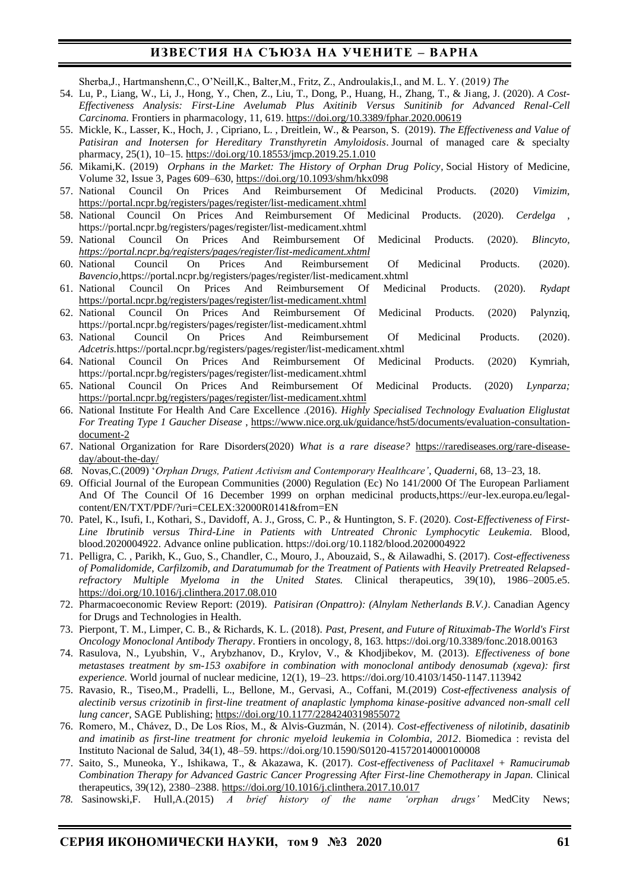Sherba,J., Hartmanshenn,C., O'Neill,K., Balter,M., Fritz, Z., Androulakis,I., and M. L. Y. (2019*) The*

- 54. Lu, P., Liang, W., Li, J., Hong, Y., Chen, Z., Liu, T., Dong, P., Huang, H., Zhang, T., & Jiang, J. (2020). *A Cost-Effectiveness Analysis: First-Line Avelumab Plus Axitinib Versus Sunitinib for Advanced Renal-Cell Carcinoma.* Frontiers in pharmacology, 11, 619[. https://doi.org/10.3389/fphar.2020.00619](https://doi.org/10.3389/fphar.2020.00619)
- 55. Mickle, K., Lasser, K., Hoch, J. , Cipriano, L. , Dreitlein, W., & Pearson, S. (2019). *The Effectiveness and Value of Patisiran and Inotersen for Hereditary Transthyretin Amyloidosis*. Journal of managed care & specialty pharmacy, 25(1), 10–15[. https://doi.org/10.18553/jmcp.2019.25.1.010](https://doi.org/10.18553/jmcp.2019.25.1.010)
- *56.* Mikami,K. (2019) *Orphans in the Market: The History of Orphan Drug Policy*, Social History of Medicine*,*  Volume 32, Issue 3, Pages 609–630, <https://doi.org/10.1093/shm/hkx098>
- 57. National Council On Prices And Reimbursement Of Medicinal Products. (2020) *Vimizim,* <https://portal.ncpr.bg/registers/pages/register/list-medicament.xhtml>
- 58. National Council On Prices And Reimbursement Of Medicinal Products. (2020). *Cerdelga ,* https://portal.ncpr.bg/registers/pages/register/list-medicament.xhtml
- 59. National Council On Prices And Reimbursement Of Medicinal Products. (2020). *Blincyto, <https://portal.ncpr.bg/registers/pages/register/list-medicament.xhtml>*
- 60. National Council On Prices And Reimbursement Of Medicinal Products. (2020). *[Bavencio,](https://portal.ncpr.bg/registers/pages/register/list-medicament.xhtml)*https://portal.ncpr.bg/registers/pages/register/list-medicament.xhtml
- 61. National Council On Prices And Reimbursement Of Medicinal Products. (2020). *Rydapt* <https://portal.ncpr.bg/registers/pages/register/list-medicament.xhtml>
- 62. National Council On Prices And Reimbursement Of Medicinal Products. (2020) Palynziq, https://portal.ncpr.bg/registers/pages/register/list-medicament.xhtml
- 63. National Council On Prices And Reimbursement Of Medicinal Products. (2020). *Adcetris.*https://portal.ncpr.bg/registers/pages/register/list-medicament.xhtml
- 64. National Council On Prices And Reimbursement Of Medicinal Products. (2020) Kymriah, https://portal.ncpr.bg/registers/pages/register/list-medicament.xhtml
- 65. National Council On Prices And Reimbursement Of Medicinal Products. (2020) *Lynparza;* <https://portal.ncpr.bg/registers/pages/register/list-medicament.xhtml>
- 66. National Institute For Health And Care Excellence .(2016). *Highly Specialised Technology Evaluation Eliglustat For Treating Type 1 Gaucher Disease* , [https://www.nice.org.uk/guidance/hst5/documents/evaluation-consultation](https://www.nice.org.uk/guidance/hst5/documents/evaluation-consultation-document-2)[document-2](https://www.nice.org.uk/guidance/hst5/documents/evaluation-consultation-document-2)
- 67. National Organization for Rare Disorders(2020) *What is a rare disease?* [https://rarediseases.org/rare-disease](https://rarediseases.org/rare-disease-day/about-the-day/)[day/about-the-day/](https://rarediseases.org/rare-disease-day/about-the-day/)
- *68.* Novas,C.(2009) '*Orphan Drugs, Patient Activism and Contemporary Healthcare'*, *Quaderni*, 68, 13–23, 18.
- 69. Official Journal of the European Communities (2000) Regulation (Ec) No 141/2000 Of The European Parliament And Of The Council Of 16 December 1999 on orphan medicinal products,https://eur-lex.europa.eu/legalcontent/EN/TXT/PDF/?uri=CELEX:32000R0141&from=EN
- 70. Patel, K., Isufi, I., Kothari, S., Davidoff, A. J., Gross, C. P., & Huntington, S. F. (2020). *Cost-Effectiveness of First-Line Ibrutinib versus Third-Line in Patients with Untreated Chronic Lymphocytic Leukemia.* Blood, blood.2020004922. Advance online publication. https://doi.org/10.1182/blood.2020004922
- 71. Pelligra, C. , Parikh, K., Guo, S., Chandler, C., Mouro, J., Abouzaid, S., & Ailawadhi, S. (2017). *Cost-effectiveness of Pomalidomide, Carfilzomib, and Daratumumab for the Treatment of Patients with Heavily Pretreated Relapsedrefractory Multiple Myeloma in the United States.* Clinical therapeutics, 39(10), 1986–2005.e5. <https://doi.org/10.1016/j.clinthera.2017.08.010>
- 72. Pharmacoeconomic Review Report: (2019). *Patisiran (Onpattro): (Alnylam Netherlands B.V.)*. Canadian Agency for Drugs and Technologies in Health.
- 73. Pierpont, T. M., Limper, C. B., & Richards, K. L. (2018). *Past, Present, and Future of Rituximab-The World's First Oncology Monoclonal Antibody Therapy*. Frontiers in oncology, 8, 163. https://doi.org/10.3389/fonc.2018.00163
- 74. Rasulova, N., Lyubshin, V., Arybzhanov, D., Krylov, V., & Khodjibekov, M. (2013). *Effectiveness of bone metastases treatment by sm-153 oxabifore in combination with monoclonal antibody denosumab (xgeva): first experience.* World journal of nuclear medicine, 12(1), 19–23. https://doi.org/10.4103/1450-1147.113942
- 75. Ravasio, R., Tiseo,M., Pradelli, L., Bellone, M., Gervasi, A., Coffani, M.(2019) *Cost-effectiveness analysis of alectinib versus crizotinib in first-line treatment of anaplastic lymphoma kinase-positive advanced non-small cell lung cancer,* SAGE Publishing[; https://doi.org/10.1177/2284240319855072](https://doi.org/10.1177/2284240319855072)
- 76. Romero, M., Chávez, D., De Los Ríos, M., & Alvis-Guzmán, N. (2014). *Cost-effectiveness of nilotinib, dasatinib and imatinib as first-line treatment for chronic myeloid leukemia in Colombia, 2012*. Biomedica : revista del Instituto Nacional de Salud, 34(1), 48–59. https://doi.org/10.1590/S0120-41572014000100008
- 77. Saito, S., Muneoka, Y., Ishikawa, T., & Akazawa, K. (2017). *Cost-effectiveness of Paclitaxel + Ramucirumab Combination Therapy for Advanced Gastric Cancer Progressing After First-line Chemotherapy in Japan.* Clinical therapeutics, 39(12), 2380–2388[. https://doi.org/10.1016/j.clinthera.2017.10.017](https://doi.org/10.1016/j.clinthera.2017.10.017)
- *78.* Sasinowski,F. Hull,A.(2015) *A brief history of the name 'orphan drugs'* MedCity News;